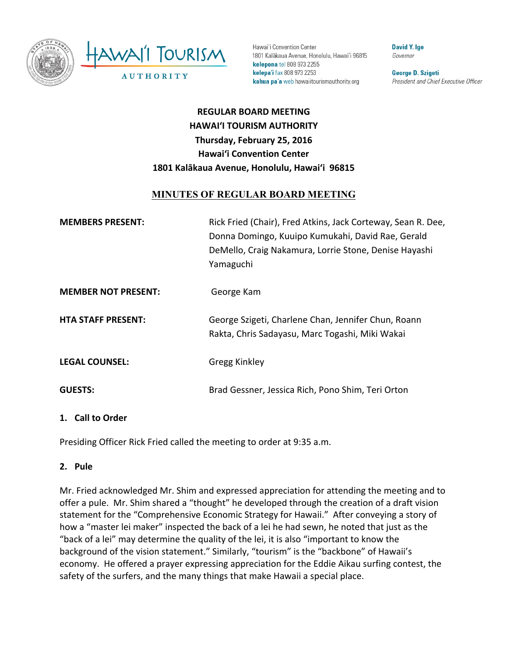

Hawai'i Convention Center 1801 Kalākaua Avenue, Honolulu, Hawai'i 96815 kelepona tel 808 973 2255 kelepa'i fax 808 973 2253 kahua pa'a web hawaiitourismauthority.org

**David Y. Ige** Governor

**George D. Szigeti** President and Chief Executive Officer

# **REGULAR BOARD MEETING HAWAI'I TOURISM AUTHORITY Thursday, February 25, 2016 Hawai'i Convention Center** 1801 Kalākaua Avenue, Honolulu, Hawai'i 96815

# **MINUTES OF REGULAR BOARD MEETING**

| <b>MEMBERS PRESENT:</b>    | Rick Fried (Chair), Fred Atkins, Jack Corteway, Sean R. Dee,<br>Donna Domingo, Kuuipo Kumukahi, David Rae, Gerald<br>DeMello, Craig Nakamura, Lorrie Stone, Denise Hayashi<br>Yamaguchi |
|----------------------------|-----------------------------------------------------------------------------------------------------------------------------------------------------------------------------------------|
| <b>MEMBER NOT PRESENT:</b> | George Kam                                                                                                                                                                              |
| <b>HTA STAFF PRESENT:</b>  | George Szigeti, Charlene Chan, Jennifer Chun, Roann<br>Rakta, Chris Sadayasu, Marc Togashi, Miki Wakai                                                                                  |
| <b>LEGAL COUNSEL:</b>      | Gregg Kinkley                                                                                                                                                                           |
| <b>GUESTS:</b>             | Brad Gessner, Jessica Rich, Pono Shim, Teri Orton                                                                                                                                       |

#### 1. **Call to Order**

Presiding Officer Rick Fried called the meeting to order at 9:35 a.m.

#### **2. Pule**

Mr. Fried acknowledged Mr. Shim and expressed appreciation for attending the meeting and to offer a pule. Mr. Shim shared a "thought" he developed through the creation of a draft vision statement for the "Comprehensive Economic Strategy for Hawaii." After conveying a story of how a "master lei maker" inspected the back of a lei he had sewn, he noted that just as the "back of a lei" may determine the quality of the lei, it is also "important to know the background of the vision statement." Similarly, "tourism" is the "backbone" of Hawaii's economy. He offered a prayer expressing appreciation for the Eddie Aikau surfing contest, the safety of the surfers, and the many things that make Hawaii a special place.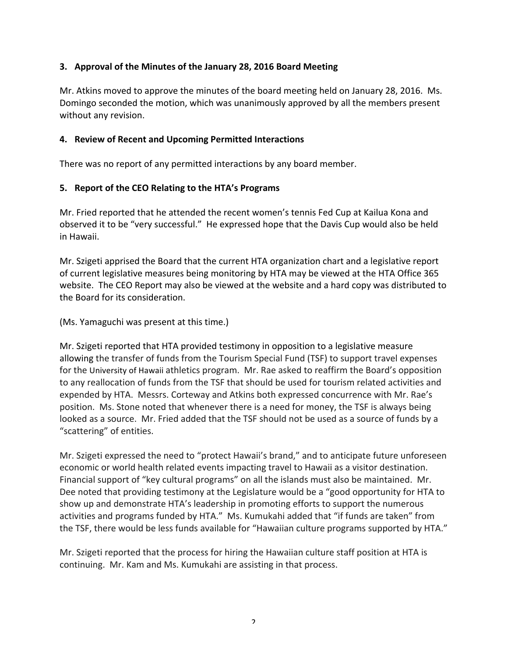### **3.** Approval of the Minutes of the January 28, 2016 Board Meeting

Mr. Atkins moved to approve the minutes of the board meeting held on January 28, 2016. Ms. Domingo seconded the motion, which was unanimously approved by all the members present without any revision.

#### **4. Review of Recent and Upcoming Permitted Interactions**

There was no report of any permitted interactions by any board member.

#### **5.** Report of the CEO Relating to the HTA's Programs

Mr. Fried reported that he attended the recent women's tennis Fed Cup at Kailua Kona and observed it to be "very successful." He expressed hope that the Davis Cup would also be held in Hawaii. 

Mr. Szigeti apprised the Board that the current HTA organization chart and a legislative report of current legislative measures being monitoring by HTA may be viewed at the HTA Office 365 website. The CEO Report may also be viewed at the website and a hard copy was distributed to the Board for its consideration.

(Ms. Yamaguchi was present at this time.)

Mr. Szigeti reported that HTA provided testimony in opposition to a legislative measure allowing the transfer of funds from the Tourism Special Fund (TSF) to support travel expenses for the University of Hawaii athletics program. Mr. Rae asked to reaffirm the Board's opposition to any reallocation of funds from the TSF that should be used for tourism related activities and expended by HTA. Messrs. Corteway and Atkins both expressed concurrence with Mr. Rae's position. Ms. Stone noted that whenever there is a need for money, the TSF is always being looked as a source. Mr. Fried added that the TSF should not be used as a source of funds by a "scattering" of entities.

Mr. Szigeti expressed the need to "protect Hawaii's brand," and to anticipate future unforeseen economic or world health related events impacting travel to Hawaii as a visitor destination. Financial support of "key cultural programs" on all the islands must also be maintained. Mr. Dee noted that providing testimony at the Legislature would be a "good opportunity for HTA to show up and demonstrate HTA's leadership in promoting efforts to support the numerous activities and programs funded by HTA." Ms. Kumukahi added that "if funds are taken" from the TSF, there would be less funds available for "Hawaiian culture programs supported by HTA."

Mr. Szigeti reported that the process for hiring the Hawaiian culture staff position at HTA is continuing. Mr. Kam and Ms. Kumukahi are assisting in that process.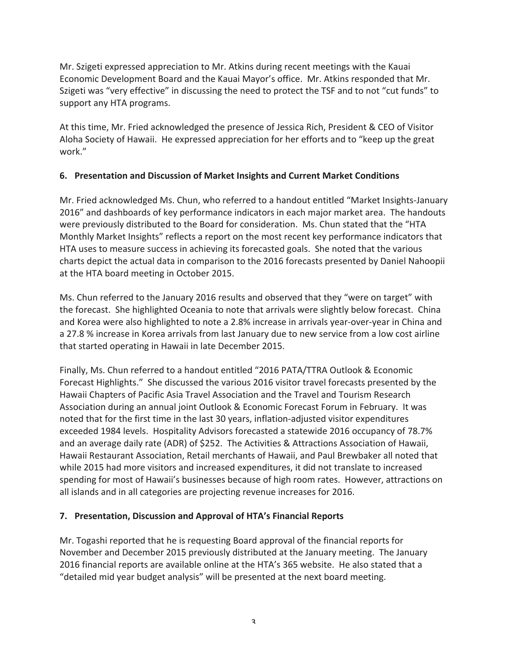Mr. Szigeti expressed appreciation to Mr. Atkins during recent meetings with the Kauai Economic Development Board and the Kauai Mayor's office. Mr. Atkins responded that Mr. Szigeti was "very effective" in discussing the need to protect the TSF and to not "cut funds" to support any HTA programs.

At this time, Mr. Fried acknowledged the presence of Jessica Rich, President & CEO of Visitor Aloha Society of Hawaii. He expressed appreciation for her efforts and to "keep up the great work."

### **6. Presentation and Discussion of Market Insights and Current Market Conditions**

Mr. Fried acknowledged Ms. Chun, who referred to a handout entitled "Market Insights-January 2016" and dashboards of key performance indicators in each major market area. The handouts were previously distributed to the Board for consideration. Ms. Chun stated that the "HTA Monthly Market Insights" reflects a report on the most recent key performance indicators that HTA uses to measure success in achieving its forecasted goals. She noted that the various charts depict the actual data in comparison to the 2016 forecasts presented by Daniel Nahoopii at the HTA board meeting in October 2015.

Ms. Chun referred to the January 2016 results and observed that they "were on target" with the forecast. She highlighted Oceania to note that arrivals were slightly below forecast. China and Korea were also highlighted to note a 2.8% increase in arrivals year-over-year in China and a 27.8 % increase in Korea arrivals from last January due to new service from a low cost airline that started operating in Hawaii in late December 2015.

Finally, Ms. Chun referred to a handout entitled "2016 PATA/TTRA Outlook & Economic Forecast Highlights." She discussed the various 2016 visitor travel forecasts presented by the Hawaii Chapters of Pacific Asia Travel Association and the Travel and Tourism Research Association during an annual joint Outlook & Economic Forecast Forum in February. It was noted that for the first time in the last 30 years, inflation-adjusted visitor expenditures exceeded 1984 levels. Hospitality Advisors forecasted a statewide 2016 occupancy of 78.7% and an average daily rate (ADR) of \$252. The Activities & Attractions Association of Hawaii, Hawaii Restaurant Association, Retail merchants of Hawaii, and Paul Brewbaker all noted that while 2015 had more visitors and increased expenditures, it did not translate to increased spending for most of Hawaii's businesses because of high room rates. However, attractions on all islands and in all categories are projecting revenue increases for 2016.

# **7. Presentation, Discussion and Approval of HTA's Financial Reports**

Mr. Togashi reported that he is requesting Board approval of the financial reports for November and December 2015 previously distributed at the January meeting. The January 2016 financial reports are available online at the HTA's 365 website. He also stated that a "detailed mid year budget analysis" will be presented at the next board meeting.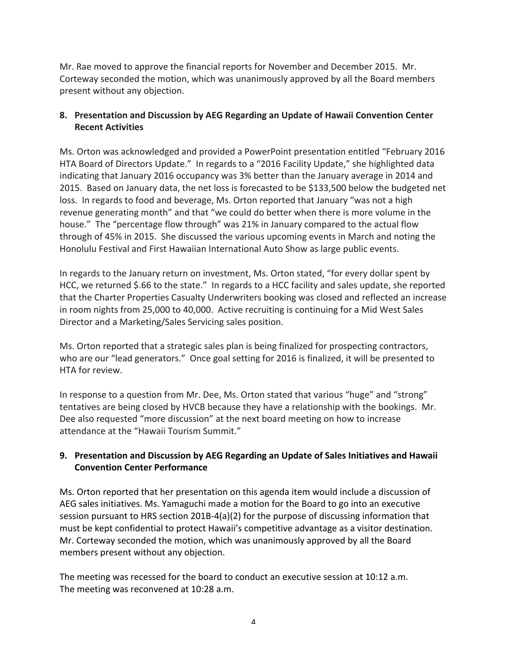Mr. Rae moved to approve the financial reports for November and December 2015. Mr. Corteway seconded the motion, which was unanimously approved by all the Board members present without any objection.

### **8.** Presentation and Discussion by AEG Regarding an Update of Hawaii Convention Center **Recent Activities**

Ms. Orton was acknowledged and provided a PowerPoint presentation entitled "February 2016 HTA Board of Directors Update." In regards to a "2016 Facility Update," she highlighted data indicating that January 2016 occupancy was 3% better than the January average in 2014 and 2015. Based on January data, the net loss is forecasted to be \$133,500 below the budgeted net loss. In regards to food and beverage, Ms. Orton reported that January "was not a high revenue generating month" and that "we could do better when there is more volume in the house." The "percentage flow through" was 21% in January compared to the actual flow through of 45% in 2015. She discussed the various upcoming events in March and noting the Honolulu Festival and First Hawaiian International Auto Show as large public events.

In regards to the January return on investment, Ms. Orton stated, "for every dollar spent by HCC, we returned \$.66 to the state." In regards to a HCC facility and sales update, she reported that the Charter Properties Casualty Underwriters booking was closed and reflected an increase in room nights from 25,000 to 40,000. Active recruiting is continuing for a Mid West Sales Director and a Marketing/Sales Servicing sales position.

Ms. Orton reported that a strategic sales plan is being finalized for prospecting contractors, who are our "lead generators." Once goal setting for 2016 is finalized, it will be presented to HTA for review.

In response to a question from Mr. Dee, Ms. Orton stated that various "huge" and "strong" tentatives are being closed by HVCB because they have a relationship with the bookings. Mr. Dee also requested "more discussion" at the next board meeting on how to increase attendance at the "Hawaii Tourism Summit."

# **9.** Presentation and Discussion by AEG Regarding an Update of Sales Initiatives and Hawaii **Convention Center Performance**

Ms. Orton reported that her presentation on this agenda item would include a discussion of AEG sales initiatives. Ms. Yamaguchi made a motion for the Board to go into an executive session pursuant to HRS section 201B-4(a)(2) for the purpose of discussing information that must be kept confidential to protect Hawaii's competitive advantage as a visitor destination. Mr. Corteway seconded the motion, which was unanimously approved by all the Board members present without any objection.

The meeting was recessed for the board to conduct an executive session at 10:12 a.m. The meeting was reconvened at 10:28 a.m.